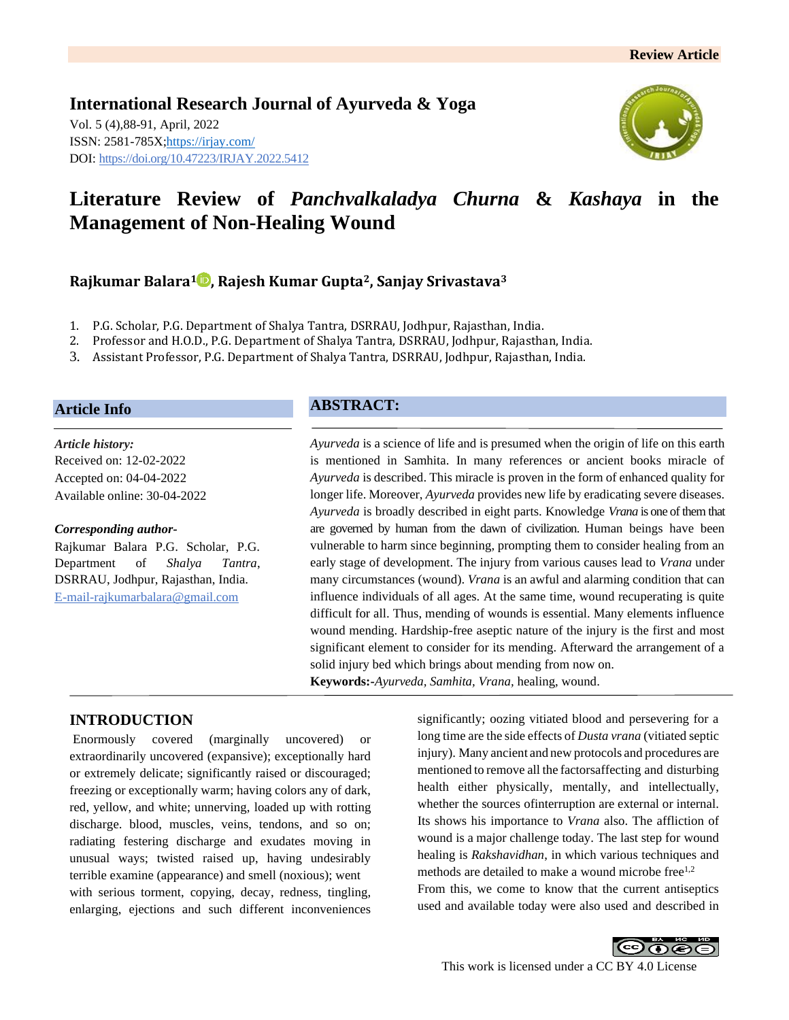**International Research Journal of Ayurveda & Yoga** Vol. 5 (4),88-91, April, 2022 ISSN: 2581-785X[; https://irjay.com/](https://irjay.com/) DOI: https://doi.org/10.47223/IRJAY.2022.5412



# **Literature Review of** *Panchvalkaladya Churna* **&** *Kashaya* **in the Management of Non-Healing Wound**

**Rajkumar Balara<sup>1</sup> , Rajesh Kumar Gupta2, Sanjay Srivastava<sup>3</sup>**

- 1. P.G. Scholar, P.G. Department of Shalya Tantra, DSRRAU, Jodhpur, Rajasthan, India.
- 2. Professor and H.O.D., P.G. Department of Shalya Tantra, DSRRAU, Jodhpur, Rajasthan, India.
- 3. Assistant Professor, P.G. Department of Shalya Tantra, DSRRAU, Jodhpur, Rajasthan, India.

#### **Article Info**

*Article history:* Received on: 12-02-2022 Accepted on: 04-04-2022 Available online: 30-04-2022

#### *Corresponding author-*

Rajkumar Balara P.G. Scholar, P.G. Department of *Shalya Tantra*, DSRRAU, Jodhpur, Rajasthan, India. E-mail-rajkumarbalara@gmail.com

#### **ABSTRACT:**

*Ayurveda* is a science of life and is presumed when the origin of life on this earth is mentioned in Samhita. In many references or ancient books miracle of *Ayurveda* is described. This miracle is proven in the form of enhanced quality for longer life. Moreover, *Ayurveda* provides new life by eradicating severe diseases. *Ayurveda* is broadly described in eight parts. Knowledge *Vrana* is one of them that are governed by human from the dawn of civilization. Human beings have been vulnerable to harm since beginning, prompting them to consider healing from an early stage of development. The injury from various causes lead to *Vrana* under many circumstances (wound). *Vrana* is an awful and alarming condition that can influence individuals of all ages. At the same time, wound recuperating is quite difficult for all. Thus, mending of wounds is essential. Many elements influence wound mending. Hardship-free aseptic nature of the injury is the first and most significant element to consider for its mending. Afterward the arrangement of a solid injury bed which brings about mending from now on. **Keywords:-***Ayurveda, Samhita, Vrana,* healing, wound.

**INTRODUCTION**

Enormously covered (marginally uncovered) or extraordinarily uncovered (expansive); exceptionally hard or extremely delicate; significantly raised or discouraged; freezing or exceptionally warm; having colors any of dark, red, yellow, and white; unnerving, loaded up with rotting discharge. blood, muscles, veins, tendons, and so on; radiating festering discharge and exudates moving in unusual ways; twisted raised up, having undesirably terrible examine (appearance) and smell (noxious); went with serious torment, copying, decay, redness, tingling, enlarging, ejections and such different inconveniences

significantly; oozing vitiated blood and persevering for a long time are the side effects of *Dusta vrana* (vitiated septic injury). Many ancient and new protocols and procedures are mentioned to remove all the factorsaffecting and disturbing health either physically, mentally, and intellectually, whether the sources ofinterruption are external or internal. Its shows his importance to *Vrana* also. The affliction of wound is a major challenge today. The last step for wound healing is *Rakshavidhan*, in which various techniques and methods are detailed to make a wound microbe free $1,2$ From this, we come to know that the current antiseptics used and available today were also used and described in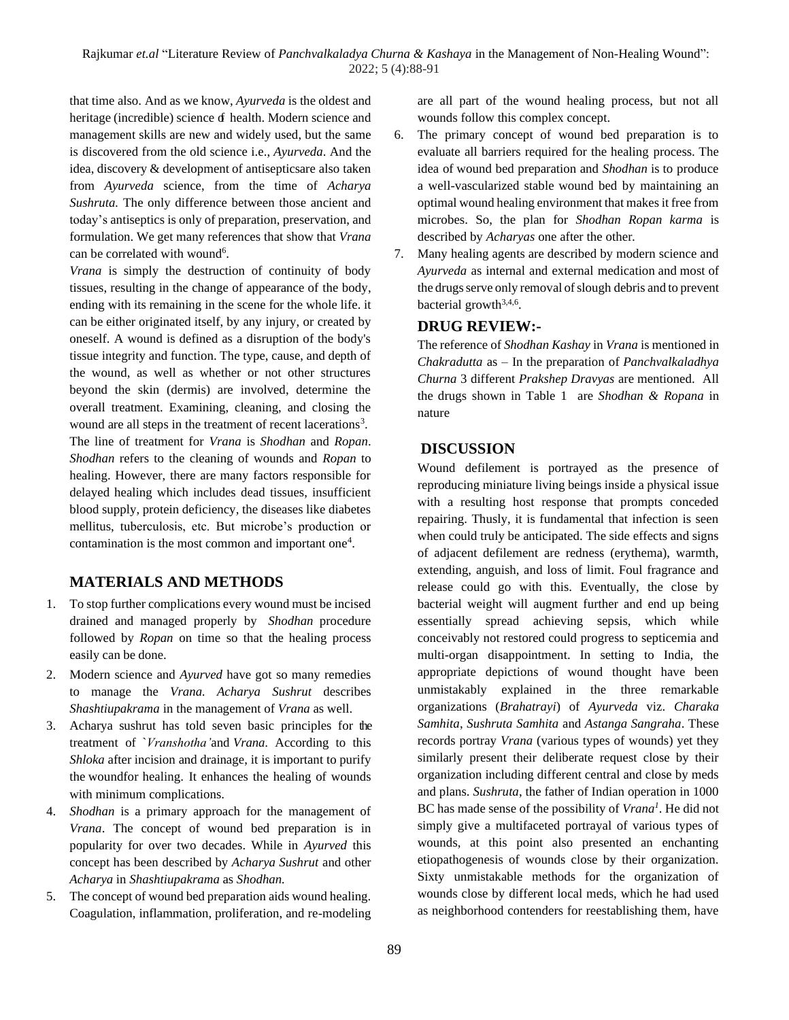that time also. And as we know, *Ayurveda* is the oldest and heritage (incredible) science of health. Modern science and management skills are new and widely used, but the same is discovered from the old science i.e., *Ayurveda*. And the idea, discovery & development of antisepticsare also taken from *Ayurveda* science, from the time of *Acharya Sushruta.* The only difference between those ancient and today's antiseptics is only of preparation, preservation, and formulation. We get many references that show that *Vrana* can be correlated with wound<sup>6</sup>.

*Vrana* is simply the destruction of continuity of body tissues, resulting in the change of appearance of the body, ending with its remaining in the scene for the whole life. it can be either originated itself, by any injury, or created by oneself. A wound is defined as a disruption of the body's tissue integrity and function. The type, cause, and depth of the wound, as well as whether or not other structures beyond the skin (dermis) are involved, determine the overall treatment. Examining, cleaning, and closing the wound are all steps in the treatment of recent lacerations<sup>3</sup>. The line of treatment for *Vrana* is *Shodhan* and *Ropan*. *Shodhan* refers to the cleaning of wounds and *Ropan* to healing. However, there are many factors responsible for delayed healing which includes dead tissues, insufficient blood supply, protein deficiency, the diseases like diabetes mellitus, tuberculosis, etc. But microbe's production or contamination is the most common and important one<sup>4</sup>.

#### **MATERIALS AND METHODS**

- 1. To stop further complications every wound must be incised drained and managed properly by *Shodhan* procedure followed by *Ropan* on time so that the healing process easily can be done.
- 2. Modern science and *Ayurved* have got so many remedies to manage the *Vrana. Acharya Sushrut* describes *Shashtiupakrama* in the management of *Vrana* as well.
- 3. Acharya sushrut has told seven basic principles for the treatment of `*Vranshotha'*and *Vrana.* According to this *Shloka* after incision and drainage, it is important to purify the woundfor healing. It enhances the healing of wounds with minimum complications.
- 4. *Shodhan* is a primary approach for the management of *Vrana*. The concept of wound bed preparation is in popularity for over two decades. While in *Ayurved* this concept has been described by *Acharya Sushrut* and other *Acharya* in *Shashtiupakrama* as *Shodhan.*
- 5. The concept of wound bed preparation aids wound healing. Coagulation, inflammation, proliferation, and re-modeling

are all part of the wound healing process, but not all wounds follow this complex concept.

- 6. The primary concept of wound bed preparation is to evaluate all barriers required for the healing process. The idea of wound bed preparation and *Shodhan* is to produce a well-vascularized stable wound bed by maintaining an optimal wound healing environment that makes it free from microbes. So, the plan for *Shodhan Ropan karma* is described by *Acharyas* one after the other*.*
- 7. Many healing agents are described by modern science and *Ayurveda* as internal and external medication and most of the drugs serve only removal of slough debris and to prevent bacterial growth<sup>3,4,6</sup>.

#### **DRUG REVIEW:-**

The reference of *Shodhan Kashay* in *Vrana* is mentioned in *Chakradutta* as – In the preparation of *Panchvalkaladhya Churna* 3 different *Prakshep Dravyas* are mentioned. All the drugs shown in Table 1 are *Shodhan & Ropana* in nature

#### **DISCUSSION**

Wound defilement is portrayed as the presence of reproducing miniature living beings inside a physical issue with a resulting host response that prompts conceded repairing. Thusly, it is fundamental that infection is seen when could truly be anticipated. The side effects and signs of adjacent defilement are redness (erythema), warmth, extending, anguish, and loss of limit. Foul fragrance and release could go with this. Eventually, the close by bacterial weight will augment further and end up being essentially spread achieving sepsis, which while conceivably not restored could progress to septicemia and multi-organ disappointment. In setting to India, the appropriate depictions of wound thought have been unmistakably explained in the three remarkable organizations (*Brahatrayi*) of *Ayurveda* viz. *Charaka Samhita*, *Sushruta Samhita* and *Astanga Sangraha*. These records portray *Vrana* (various types of wounds) yet they similarly present their deliberate request close by their organization including different central and close by meds and plans. *Sushruta*, the father of Indian operation in 1000 BC has made sense of the possibility of *Vrana<sup>1</sup>* . He did not simply give a multifaceted portrayal of various types of wounds, at this point also presented an enchanting etiopathogenesis of wounds close by their organization. Sixty unmistakable methods for the organization of wounds close by different local meds, which he had used as neighborhood contenders for reestablishing them, have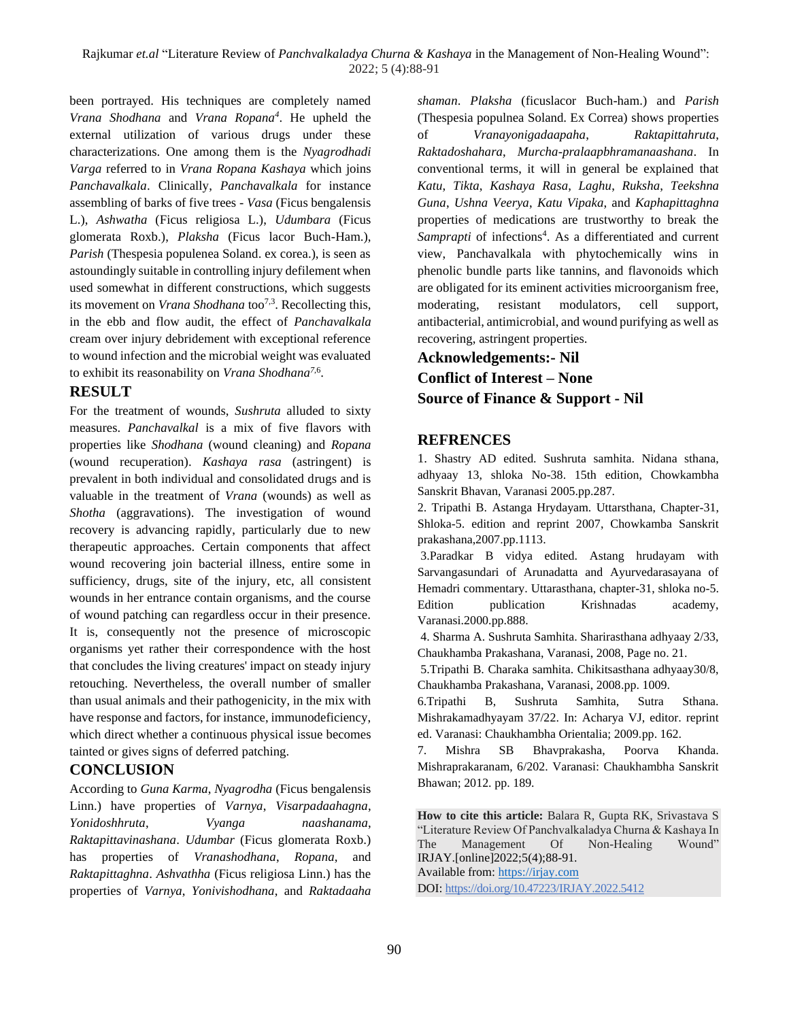been portrayed. His techniques are completely named *Vrana Shodhana* and *Vrana Ropana<sup>4</sup>* . He upheld the external utilization of various drugs under these characterizations. One among them is the *Nyagrodhadi Varga* referred to in *Vrana Ropana Kashaya* which joins *Panchavalkala*. Clinically, *Panchavalkala* for instance assembling of barks of five trees - *Vasa* (Ficus bengalensis L.), *Ashwatha* (Ficus religiosa L.), *Udumbara* (Ficus glomerata Roxb.), *Plaksha* (Ficus lacor Buch-Ham.), *Parish* (Thespesia populenea Soland. ex corea.), is seen as astoundingly suitable in controlling injury defilement when used somewhat in different constructions, which suggests its movement on *Vrana Shodhana* too 7,3. Recollecting this, in the ebb and flow audit, the effect of *Panchavalkala* cream over injury debridement with exceptional reference to wound infection and the microbial weight was evaluated to exhibit its reasonability on *Vrana Shodhana<sup>7</sup>*,6 .

### **RESULT**

For the treatment of wounds, *Sushruta* alluded to sixty measures. *Panchavalkal* is a mix of five flavors with properties like *Shodhana* (wound cleaning) and *Ropana* (wound recuperation). *Kashaya rasa* (astringent) is prevalent in both individual and consolidated drugs and is valuable in the treatment of *Vrana* (wounds) as well as *Shotha* (aggravations). The investigation of wound recovery is advancing rapidly, particularly due to new therapeutic approaches. Certain components that affect wound recovering join bacterial illness, entire some in sufficiency, drugs, site of the injury, etc, all consistent wounds in her entrance contain organisms, and the course of wound patching can regardless occur in their presence. It is, consequently not the presence of microscopic organisms yet rather their correspondence with the host that concludes the living creatures' impact on steady injury retouching. Nevertheless, the overall number of smaller than usual animals and their pathogenicity, in the mix with have response and factors, for instance, immunodeficiency, which direct whether a continuous physical issue becomes tainted or gives signs of deferred patching.

#### **CONCLUSION**

According to *Guna Karma*, *Nyagrodha* (Ficus bengalensis Linn.) have properties of *Varnya*, *Visarpadaahagna*, *Yonidoshhruta*, *Vyanga naashanama*, *Raktapittavinashana*. *Udumbar* (Ficus glomerata Roxb.) has properties of *Vranashodhana*, *Ropana*, and *Raktapittaghna*. *Ashvathha* (Ficus religiosa Linn.) has the properties of *Varnya*, *Yonivishodhana*, and *Raktadaaha* *shaman*. *Plaksha* (ficuslacor Buch-ham.) and *Parish* (Thespesia populnea Soland. Ex Correa) shows properties of *Vranayonigadaapaha*, *Raktapittahruta*, *Raktadoshahara*, *Murcha*-*pralaapbhramanaashana*. In conventional terms, it will in general be explained that *Katu*, *Tikta*, *Kashaya Rasa*, *Laghu*, *Ruksha*, *Teekshna Guna*, *Ushna Veerya*, *Katu Vipaka*, and *Kaphapittaghna* properties of medications are trustworthy to break the Samprapti of infections<sup>4</sup>. As a differentiated and current view, Panchavalkala with phytochemically wins in phenolic bundle parts like tannins, and flavonoids which are obligated for its eminent activities microorganism free, moderating, resistant modulators, cell support, antibacterial, antimicrobial, and wound purifying as well as recovering, astringent properties.

## **Acknowledgements:- Nil Conflict of Interest – None Source of Finance & Support - Nil**

#### **REFRENCES**

1. Shastry AD edited. Sushruta samhita. Nidana sthana, adhyaay 13, shloka No-38. 15th edition, Chowkambha Sanskrit Bhavan, Varanasi 2005.pp.287.

2. Tripathi B. Astanga Hrydayam. Uttarsthana, Chapter-31, Shloka-5. edition and reprint 2007, Chowkamba Sanskrit prakashana,2007.pp.1113.

3.Paradkar B vidya edited. Astang hrudayam with Sarvangasundari of Arunadatta and Ayurvedarasayana of Hemadri commentary. Uttarasthana, chapter-31, shloka no-5. Edition publication Krishnadas academy, Varanasi.2000.pp.888.

4. Sharma A. Sushruta Samhita. Sharirasthana adhyaay 2/33, Chaukhamba Prakashana, Varanasi, 2008, Page no. 21.

5.Tripathi B. Charaka samhita. Chikitsasthana adhyaay30/8, Chaukhamba Prakashana, Varanasi, 2008.pp. 1009.

6.Tripathi B, Sushruta Samhita, Sutra Sthana. Mishrakamadhyayam 37/22. In: Acharya VJ, editor. reprint ed. Varanasi: Chaukhambha Orientalia; 2009.pp. 162.

7. Mishra SB Bhavprakasha, Poorva Khanda. Mishraprakaranam, 6/202. Varanasi: Chaukhambha Sanskrit Bhawan; 2012. pp. 189.

**How to cite this article:** Balara R, Gupta RK, Srivastava S "Literature Review Of Panchvalkaladya Churna & Kashaya In The Management Of Non-Healing Wound" IRJAY.[online]2022;5(4);88-91. Available from: [https://irjay.com](https://irjay.com/)

DOI: https://doi.org/10.47223/IRJAY.2022.5412